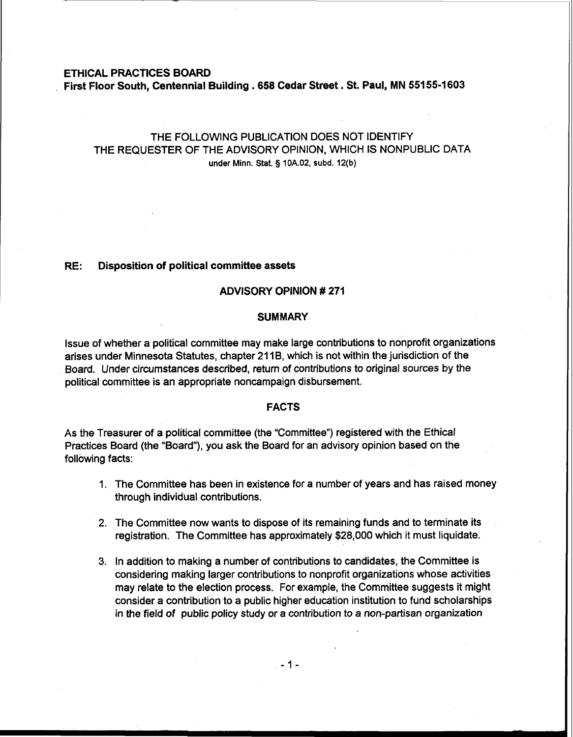# ETHICAL PRACTICES BOARD

First Floor South, Centennial Building **.658** Cedar Street . St. Paul, MN **55155-1** <sup>603</sup>

# THE FOLLOWING PUBLICATION DOES NOT IDENTIFY THE REQUESTER OF THE ADVISORY OPINION, WHICH IS NONPUBLIC DATA **under Minn.** Stat. **5 10A.02, subd. 12(b)**

## RE: Disposition of political committee assets

-

# ADVISORY OPINION # **271**

#### **SUMMARY**

Issue of whether a political committee may make large contributions to nonprofit organizations arises under Minnesota Statutes, chapter 21 18, which is not within the jurisdiction of the Board. Under circumstances described, return of contributions to original sources by the political committee is an appropriate noncampaign disbursement.

#### FACTS

As the Treasurer of a political committee (the "Committee") registered with the Ethical Practices Board (the "Board"), you ask the Board for an advisory opinion based on the following facts:

- 1. The Committee has been in existence for a number of years and has raised money through individual contributions.
- 2. The Committee now wants to dispose of its remaining funds and to terminate its registration. The Committee has approximately \$28,000 which it must liquidate.
- 3. In addition to making a number of contributions to candidates, the Committee is considering making larger contributions to nonprofit organizations whose activities may relate to the election process. For example, the Committee suggests it might consider a contribution to a public higher education institution to fund scholarships in the field of public policy study or a contribution to a non-partisan organization

**1**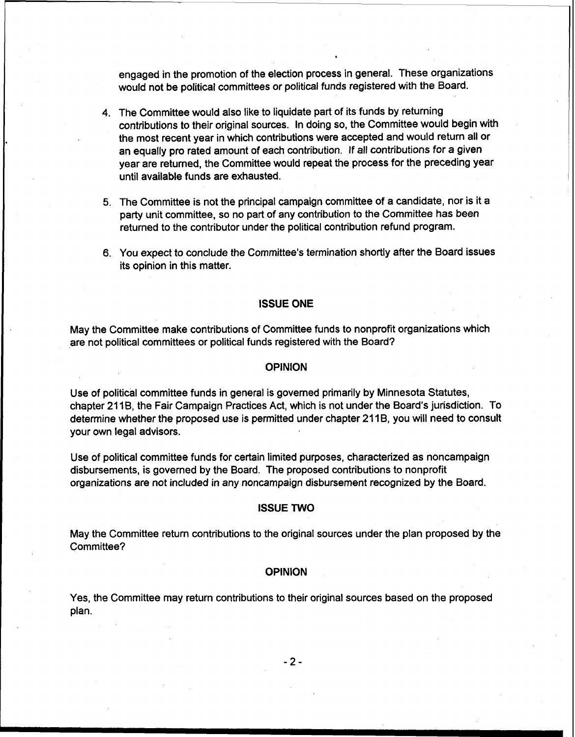engaged in the promotion of the election process in general. These organizations would not be political committees or political funds registered with the Board.

- 4. The Committee would also like to liquidate part of its funds by returning contributions to their original sources. In doing so, the Committee would begin with the most recent year in which contributions were accepted and would return all or an equally pro rated amount of each contribution. If all contributions for a given year are returned, the Committee would repeat the process for the preceding year until available funds are exhausted.
- 5. The Committee is not the principal campaign committee of a candidate, nor is it a party unit committee, so no part of any contribution to the Committee has been returned to the contributor under the political contribution refund program.
- 6. You expect to conclude the Committee's termination shortly after the Board issues its opinion in this matter.

#### **ISSUE ONE**

May the Committee make contributions of Committee funds to nonprofit organizations which are not political committees or political funds registered with the Board?

#### **OPINION**

Use of political committee funds in general is governed primarily by Minnesota Statutes, chapter 21 18, the Fair Campaign Practices Act, which is not under the Board's jurisdiction. To determine whether the proposed use is permitted under chapter 21 18, you will need to consult your own legal advisors.

Use of political committee funds for certain limited purposes, characterized as noncampaign disbursements, is governed by the Board. The proposed contributions to nonprofit organizations are not included in any noncampaign disbursement recognized by the Board.

# **ISSUE TWO**

May the Committee return contributions to the original sources under the plan proposed by the Committee?

#### **OPINION**

Yes, the Committee may return contributions to their original sources based on the proposed plan.

 $-2-$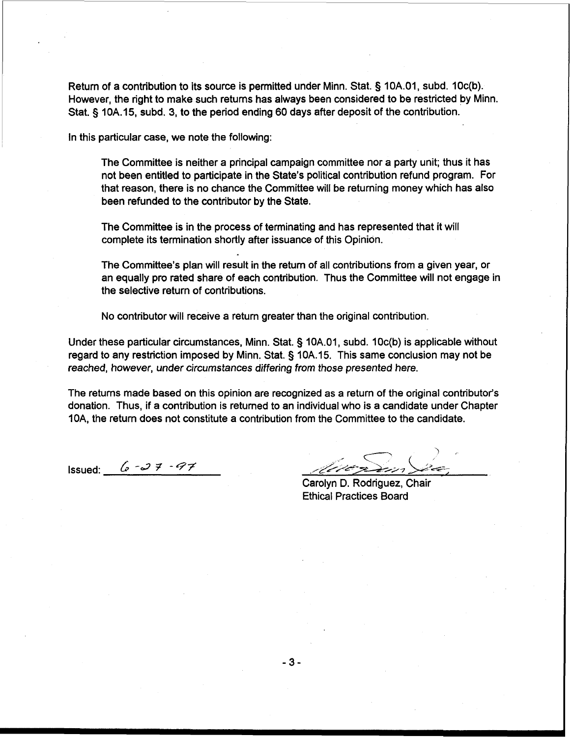Return of a contribution to its source is permitted under Minn. Stat. § 10A.01, subd. 10c(b). However, the right to make such returns has always been considered to be restricted by Minn. Stat. § 10A.15, subd. 3, to the period ending 60 days after deposit of the contribution.

In this particular case, we note the following:

The Committee is neither a principal campaign committee nor a party unit; thus it has not been entitled to participate in the State's political contribution refund program. For that reason, there is no chance the Committee will be returning money which has also been refunded to the contributor by the State.

The Committee is in the process of terminating and has represented that it will complete its termination shortly after issuance of this Opinion.

The Committee's plan will result in the return of all contributions from a given year, or an equally pro rated share of each contribution. Thus the Committee will not engage in the selective return of contributions.

No contributor will receive a return greater than the original contribution.

Under these particular circumstances, Minn. Stat. § 10A.01, subd. 10c(b) is applicable without regard to any restriction imposed by Minn. Stat. § 10A.15. This same conclusion may not be reached, however, under circumstances differing from those presented here.

The returns made based on this opinion are recognized as a return of the original contributor's donation. Thus, if a contribution is returned to an individual who is a candidate under Chapter IOA, the return does not constitute a contribution from the Committee to the candidate.

Issued:  $6 - 37 - 97$ 

Carolyn D. Rodriguez, Chair Ethical Practices Board